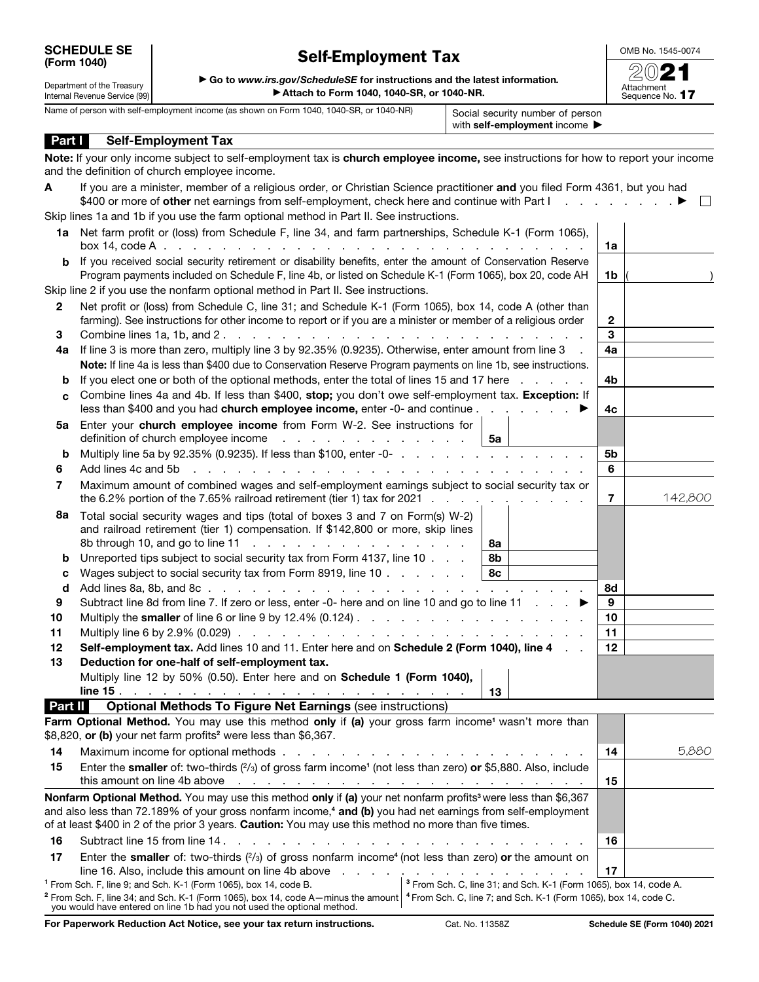## Self-Employment Tax

OMB No. 1545-0074

| Department of the Treasury    | Go to www.irs.gov/ScrieduleSE for instructions and the latest information.              |                                  |
|-------------------------------|-----------------------------------------------------------------------------------------|----------------------------------|
| Internal Revenue Service (99) | Attach to Form 1040, 1040-SR, or 1040-NR.                                               |                                  |
|                               | Name of person with self-employment income (as shown on Form 1040, 1040-SR, or 1040-NR) | Social security number of person |

Part | Self-Employment Tax

▶ Go to *www.irs.gov/ScheduleSE* for instructions and the latest information*.* ▶ Attach to Form 1040, 1040-SR, or 1040-NR.

| Attachment<br>Sequence No. 1 |  |
|------------------------------|--|

with self-employment income ▶

Note: If your only income subject to self-employment tax is church employee income, see instructions for how to report your income

|                                                                                                                                                                                                                              | and the definition of church employee income.                                                                                                                                                                                                                                                                                                                  |                |              |
|------------------------------------------------------------------------------------------------------------------------------------------------------------------------------------------------------------------------------|----------------------------------------------------------------------------------------------------------------------------------------------------------------------------------------------------------------------------------------------------------------------------------------------------------------------------------------------------------------|----------------|--------------|
| A                                                                                                                                                                                                                            | If you are a minister, member of a religious order, or Christian Science practitioner and you filed Form 4361, but you had<br>\$400 or more of other net earnings from self-employment, check here and continue with Part I.                                                                                                                                   |                | $\mathbf{L}$ |
|                                                                                                                                                                                                                              | Skip lines 1a and 1b if you use the farm optional method in Part II. See instructions.                                                                                                                                                                                                                                                                         |                |              |
|                                                                                                                                                                                                                              | 1a Net farm profit or (loss) from Schedule F, line 34, and farm partnerships, Schedule K-1 (Form 1065),                                                                                                                                                                                                                                                        | 1a             |              |
| If you received social security retirement or disability benefits, enter the amount of Conservation Reserve<br>b<br>Program payments included on Schedule F, line 4b, or listed on Schedule K-1 (Form 1065), box 20, code AH |                                                                                                                                                                                                                                                                                                                                                                |                |              |
|                                                                                                                                                                                                                              | Skip line 2 if you use the nonfarm optional method in Part II. See instructions.                                                                                                                                                                                                                                                                               |                |              |
| $\mathbf{2}$                                                                                                                                                                                                                 | Net profit or (loss) from Schedule C, line 31; and Schedule K-1 (Form 1065), box 14, code A (other than<br>farming). See instructions for other income to report or if you are a minister or member of a religious order                                                                                                                                       | $\overline{2}$ |              |
| 3                                                                                                                                                                                                                            |                                                                                                                                                                                                                                                                                                                                                                |                |              |
| 4a                                                                                                                                                                                                                           | If line 3 is more than zero, multiply line 3 by 92.35% (0.9235). Otherwise, enter amount from line 3                                                                                                                                                                                                                                                           | 4a             |              |
|                                                                                                                                                                                                                              | Note: If line 4a is less than \$400 due to Conservation Reserve Program payments on line 1b, see instructions.                                                                                                                                                                                                                                                 |                |              |
| b                                                                                                                                                                                                                            | If you elect one or both of the optional methods, enter the total of lines 15 and 17 here                                                                                                                                                                                                                                                                      | 4b             |              |
| С                                                                                                                                                                                                                            | Combine lines 4a and 4b. If less than \$400, stop; you don't owe self-employment tax. Exception: If                                                                                                                                                                                                                                                            |                |              |
|                                                                                                                                                                                                                              | less than \$400 and you had <b>church employee income,</b> enter -0- and continue                                                                                                                                                                                                                                                                              | 4с             |              |
|                                                                                                                                                                                                                              | 5a Enter your church employee income from Form W-2. See instructions for<br>definition of church employee income<br>5а                                                                                                                                                                                                                                         |                |              |
| b                                                                                                                                                                                                                            |                                                                                                                                                                                                                                                                                                                                                                | 5b             |              |
| 6                                                                                                                                                                                                                            | Add lines 4c and 5b                                                                                                                                                                                                                                                                                                                                            | 6              |              |
| 7                                                                                                                                                                                                                            | Maximum amount of combined wages and self-employment earnings subject to social security tax or<br>the 6.2% portion of the 7.65% railroad retirement (tier 1) tax for 2021 $\ldots$                                                                                                                                                                            | 7              | 142,800      |
| 8a<br>b                                                                                                                                                                                                                      | Total social security wages and tips (total of boxes 3 and 7 on Form(s) W-2)<br>and railroad retirement (tier 1) compensation. If \$142,800 or more, skip lines<br>8а<br>Unreported tips subject to social security tax from Form 4137, line 10<br>8b                                                                                                          |                |              |
| c                                                                                                                                                                                                                            | Wages subject to social security tax from Form 8919, line 10<br>8с                                                                                                                                                                                                                                                                                             |                |              |
| d                                                                                                                                                                                                                            |                                                                                                                                                                                                                                                                                                                                                                | 8d             |              |
| 9                                                                                                                                                                                                                            | Subtract line 8d from line 7. If zero or less, enter -0- here and on line 10 and go to line 11 $\ldots$                                                                                                                                                                                                                                                        | 9              |              |
| 10                                                                                                                                                                                                                           |                                                                                                                                                                                                                                                                                                                                                                | 10             |              |
| 11                                                                                                                                                                                                                           |                                                                                                                                                                                                                                                                                                                                                                | 11             |              |
| 12                                                                                                                                                                                                                           | Self-employment tax. Add lines 10 and 11. Enter here and on Schedule 2 (Form 1040), line 4                                                                                                                                                                                                                                                                     | 12             |              |
| 13                                                                                                                                                                                                                           | Deduction for one-half of self-employment tax.                                                                                                                                                                                                                                                                                                                 |                |              |
|                                                                                                                                                                                                                              | Multiply line 12 by 50% (0.50). Enter here and on Schedule 1 (Form 1040),<br>13                                                                                                                                                                                                                                                                                |                |              |
| Part II                                                                                                                                                                                                                      | <b>Optional Methods To Figure Net Earnings (see instructions)</b>                                                                                                                                                                                                                                                                                              |                |              |
|                                                                                                                                                                                                                              | Farm Optional Method. You may use this method only if (a) your gross farm income <sup>1</sup> wasn't more than<br>\$8,820, or (b) your net farm profits <sup>2</sup> were less than \$6,367.                                                                                                                                                                   |                |              |
| 14                                                                                                                                                                                                                           |                                                                                                                                                                                                                                                                                                                                                                | 14             | 5,880        |
| 15                                                                                                                                                                                                                           | Enter the smaller of: two-thirds (2/3) of gross farm income <sup>1</sup> (not less than zero) or \$5,880. Also, include                                                                                                                                                                                                                                        |                |              |
|                                                                                                                                                                                                                              |                                                                                                                                                                                                                                                                                                                                                                | 15             |              |
|                                                                                                                                                                                                                              | Nonfarm Optional Method. You may use this method only if (a) your net nonfarm profits <sup>3</sup> were less than \$6,367<br>and also less than 72.189% of your gross nonfarm income, <sup>4</sup> and (b) you had net earnings from self-employment<br>of at least \$400 in 2 of the prior 3 years. Caution: You may use this method no more than five times. |                |              |
|                                                                                                                                                                                                                              |                                                                                                                                                                                                                                                                                                                                                                |                |              |
| 16                                                                                                                                                                                                                           |                                                                                                                                                                                                                                                                                                                                                                | 16             |              |

17 Enter the smaller of: two-thirds  $(2/3)$  of gross nonfarm income<sup>4</sup> (not less than zero) or the amount on line 16. Also, include this amount on line 4b above . . . . . . . . . . . . . . . . . 17 1 From Sch. F, line 9; and Sch. K-1 (Form 1065), box 14, code B.  $^2$  From Sch. F, line 34; and Sch. K-1 (Form 1065), box 14, code A—minus the amount  $\vert$   $^4$  From Sch. C, line 7; and Sch. K-1 (Form 1065), box 14, code C. <sup>3</sup> From Sch. C, line 31; and Sch. K-1 (Form 1065), box 14, code A.

| you would have entered on line 1b had you not used the optional method. |  |
|-------------------------------------------------------------------------|--|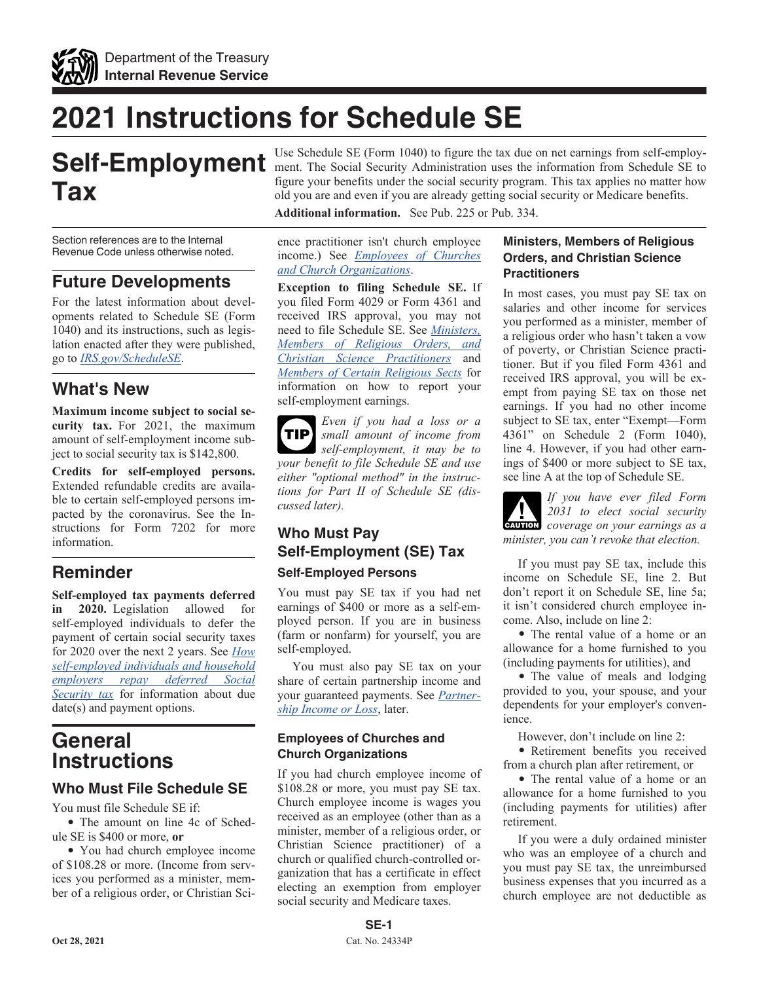

## **2021 Instructions for Schedule SE**

# **Tax**

Section references are to the Internal Revenue Code unless otherwise noted.

## **Future Developments**

For the latest information about developments related to Schedule SE (Form 1040) and its instructions, such as legislation enacted after they were published, go to *[IRS.gov/ScheduleSE](https://www.irs.gov/schedulese)*.

## **What's New**

**Maximum income subject to social security tax.** For 2021, the maximum amount of self-employment income subject to social security tax is \$142,800.

**Credits for self-employed persons.**  Extended refundable credits are available to certain self-employed persons impacted by the coronavirus. See the Instructions for Form 7202 for more information.

## **Reminder**

**Self-employed tax payments deferred in 2020.** Legislation allowed for self-employed individuals to defer the payment of certain social security taxes for 2020 over the next 2 years. See *[How](https://www.irs.gov/newsroom/how-self-employed-individuals-and-household-employers-repay-deferred-social-security-tax) [self-employed individuals and household](https://www.irs.gov/newsroom/how-self-employed-individuals-and-household-employers-repay-deferred-social-security-tax) [employers repay deferred Social](https://www.irs.gov/newsroom/how-self-employed-individuals-and-household-employers-repay-deferred-social-security-tax) [Security tax](https://www.irs.gov/newsroom/how-self-employed-individuals-and-household-employers-repay-deferred-social-security-tax)* for information about due date(s) and payment options.

## **General Instructions**

## **Who Must File Schedule SE**

You must file Schedule SE if:

• The amount on line 4c of Schedule SE is \$400 or more, **or**

• You had church employee income of \$108.28 or more. (Income from services you performed as a minister, member of a religious order, or Christian Sci-

Self-Employment Use Schedule SE (Form 1040) to figure the tax due on net earnings from self-employ-<br>Self-Employees to the information from Schedule SE to Use Schedule SE (Form 1040) to figure the tax due on net earnings from self-employfigure your benefits under the social security program. This tax applies no matter how old you are and even if you are already getting social security or Medicare benefits.

**Additional information.** See Pub. 225 or Pub. 334.

ence practitioner isn't church employee income.) See *Employees of Churches and Church Organizations*.

**Exception to filing Schedule SE.** If you filed Form 4029 or Form 4361 and received IRS approval, you may not need to file Schedule SE. See *Ministers, Members of Religious Orders, and Christian Science Practitioners* and *Members of Certain Religious Sects* for information on how to report your self-employment earnings.

*Even if you had a loss or a small amount of income from self-employment, it may be to your benefit to file Schedule SE and use either "optional method" in the instructions for Part II of Schedule SE (discussed later).* **TIP**

## **Who Must Pay Self-Employment (SE) Tax Self-Employed Persons**

You must pay SE tax if you had net earnings of \$400 or more as a self-employed person. If you are in business (farm or nonfarm) for yourself, you are self-employed.

You must also pay SE tax on your share of certain partnership income and your guaranteed payments. See *Partnership Income or Loss*, later.

#### **Employees of Churches and Church Organizations**

If you had church employee income of \$108.28 or more, you must pay SE tax. Church employee income is wages you received as an employee (other than as a minister, member of a religious order, or Christian Science practitioner) of a church or qualified church-controlled organization that has a certificate in effect electing an exemption from employer social security and Medicare taxes.

#### **Ministers, Members of Religious Orders, and Christian Science Practitioners**

In most cases, you must pay SE tax on salaries and other income for services you performed as a minister, member of a religious order who hasn't taken a vow of poverty, or Christian Science practitioner. But if you filed Form 4361 and received IRS approval, you will be exempt from paying SE tax on those net earnings. If you had no other income subject to SE tax, enter "Exempt—Form 4361" on Schedule 2 (Form 1040), line 4. However, if you had other earnings of \$400 or more subject to SE tax, see line A at the top of Schedule SE.

*If you have ever filed Form 2031 to elect social security*  **CAUTION** *coverage on your earnings as a minister, you can't revoke that election.*

If you must pay SE tax, include this income on Schedule SE, line 2. But don't report it on Schedule SE, line 5a; it isn't considered church employee income. Also, include on line 2:

• The rental value of a home or an allowance for a home furnished to you (including payments for utilities), and

• The value of meals and lodging provided to you, your spouse, and your dependents for your employer's convenience.

However, don't include on line 2:

• Retirement benefits you received from a church plan after retirement, or

• The rental value of a home or an allowance for a home furnished to you (including payments for utilities) after retirement.

If you were a duly ordained minister who was an employee of a church and you must pay SE tax, the unreimbursed business expenses that you incurred as a church employee are not deductible as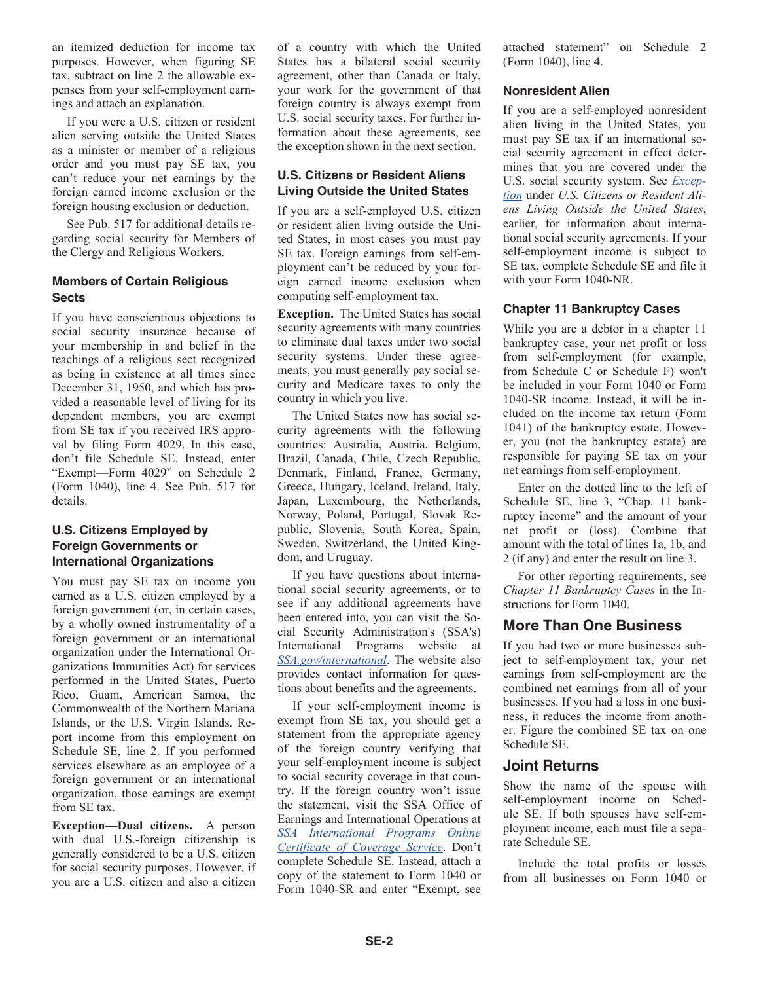an itemized deduction for income tax purposes. However, when figuring SE tax, subtract on line 2 the allowable expenses from your self-employment earnings and attach an explanation.

If you were a U.S. citizen or resident alien serving outside the United States as a minister or member of a religious order and you must pay SE tax, you can't reduce your net earnings by the foreign earned income exclusion or the foreign housing exclusion or deduction.

See Pub. 517 for additional details regarding social security for Members of the Clergy and Religious Workers.

#### **Members of Certain Religious Sects**

If you have conscientious objections to social security insurance because of your membership in and belief in the teachings of a religious sect recognized as being in existence at all times since December 31, 1950, and which has provided a reasonable level of living for its dependent members, you are exempt from SE tax if you received IRS approval by filing Form 4029. In this case, don't file Schedule SE. Instead, enter "Exempt—Form 4029" on Schedule 2 (Form 1040), line 4. See Pub. 517 for details.

#### **U.S. Citizens Employed by Foreign Governments or International Organizations**

You must pay SE tax on income you earned as a U.S. citizen employed by a foreign government (or, in certain cases, by a wholly owned instrumentality of a foreign government or an international organization under the International Organizations Immunities Act) for services performed in the United States, Puerto Rico, Guam, American Samoa, the Commonwealth of the Northern Mariana Islands, or the U.S. Virgin Islands. Report income from this employment on Schedule SE, line 2. If you performed services elsewhere as an employee of a foreign government or an international organization, those earnings are exempt from SE tax.

**Exception—Dual citizens.** A person with dual U.S.-foreign citizenship is generally considered to be a U.S. citizen for social security purposes. However, if you are a U.S. citizen and also a citizen

of a country with which the United States has a bilateral social security agreement, other than Canada or Italy, your work for the government of that foreign country is always exempt from U.S. social security taxes. For further information about these agreements, see the exception shown in the next section.

#### **U.S. Citizens or Resident Aliens Living Outside the United States**

If you are a self-employed U.S. citizen or resident alien living outside the United States, in most cases you must pay SE tax. Foreign earnings from self-employment can't be reduced by your foreign earned income exclusion when computing self-employment tax.

**Exception.** The United States has social security agreements with many countries to eliminate dual taxes under two social security systems. Under these agreements, you must generally pay social security and Medicare taxes to only the country in which you live.

The United States now has social security agreements with the following countries: Australia, Austria, Belgium, Brazil, Canada, Chile, Czech Republic, Denmark, Finland, France, Germany, Greece, Hungary, Iceland, Ireland, Italy, Japan, Luxembourg, the Netherlands, Norway, Poland, Portugal, Slovak Republic, Slovenia, South Korea, Spain, Sweden, Switzerland, the United Kingdom, and Uruguay.

If you have questions about international social security agreements, or to see if any additional agreements have been entered into, you can visit the Social Security Administration's (SSA's) International Programs website at *[SSA.gov/international](https://www.ssa.gov/international)*. The website also provides contact information for questions about benefits and the agreements.

If your self-employment income is exempt from SE tax, you should get a statement from the appropriate agency of the foreign country verifying that your self-employment income is subject to social security coverage in that country. If the foreign country won't issue the statement, visit the SSA Office of Earnings and International Operations at *[SSA International Programs Online](https://www.ssa.gov/international/CoC_link.html) [Certificate of Coverage Service](https://www.ssa.gov/international/CoC_link.html)*. Don't complete Schedule SE. Instead, attach a copy of the statement to Form 1040 or Form 1040-SR and enter "Exempt, see attached statement" on Schedule 2 (Form 1040), line 4.

#### **Nonresident Alien**

If you are a self-employed nonresident alien living in the United States, you must pay SE tax if an international social security agreement in effect determines that you are covered under the U.S. social security system. See *Exception* under *U.S. Citizens or Resident Aliens Living Outside the United States*, earlier, for information about international social security agreements. If your self-employment income is subject to SE tax, complete Schedule SE and file it with your Form 1040-NR.

#### **Chapter 11 Bankruptcy Cases**

While you are a debtor in a chapter 11 bankruptcy case, your net profit or loss from self-employment (for example, from Schedule C or Schedule F) won't be included in your Form 1040 or Form 1040-SR income. Instead, it will be included on the income tax return (Form 1041) of the bankruptcy estate. However, you (not the bankruptcy estate) are responsible for paying SE tax on your net earnings from self-employment.

Enter on the dotted line to the left of Schedule SE, line 3, "Chap. 11 bankruptcy income" and the amount of your net profit or (loss). Combine that amount with the total of lines 1a, 1b, and 2 (if any) and enter the result on line 3.

For other reporting requirements, see *Chapter 11 Bankruptcy Cases* in the Instructions for Form 1040.

## **More Than One Business**

If you had two or more businesses subject to self-employment tax, your net earnings from self-employment are the combined net earnings from all of your businesses. If you had a loss in one business, it reduces the income from another. Figure the combined SE tax on one Schedule SE.

## **Joint Returns**

Show the name of the spouse with self-employment income on Schedule SE. If both spouses have self-employment income, each must file a separate Schedule SE.

Include the total profits or losses from all businesses on Form 1040 or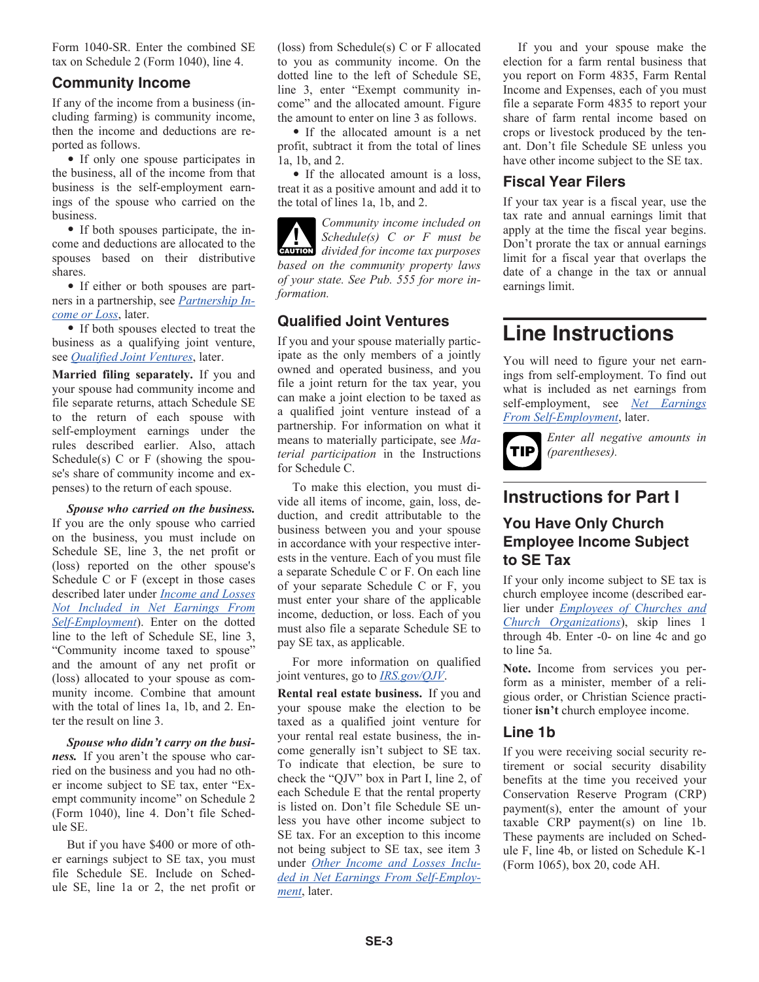Form 1040-SR. Enter the combined SE tax on Schedule 2 (Form 1040), line 4.

#### **Community Income**

If any of the income from a business (including farming) is community income, then the income and deductions are reported as follows.

• If only one spouse participates in the business, all of the income from that business is the self-employment earnings of the spouse who carried on the business.

• If both spouses participate, the income and deductions are allocated to the spouses based on their distributive shares.

• If either or both spouses are partners in a partnership, see *Partnership Income or Loss*, later.

• If both spouses elected to treat the business as a qualifying joint venture, see *Qualified Joint Ventures*, later.

**Married filing separately.** If you and your spouse had community income and file separate returns, attach Schedule SE to the return of each spouse with self-employment earnings under the rules described earlier. Also, attach Schedule(s)  $C$  or  $F$  (showing the spouse's share of community income and expenses) to the return of each spouse.

*Spouse who carried on the business.*  If you are the only spouse who carried on the business, you must include on Schedule SE, line 3, the net profit or (loss) reported on the other spouse's Schedule C or F (except in those cases described later under *Income and Losses Not Included in Net Earnings From Self-Employment*). Enter on the dotted line to the left of Schedule SE, line 3, "Community income taxed to spouse" and the amount of any net profit or (loss) allocated to your spouse as community income. Combine that amount with the total of lines 1a, 1b, and 2. Enter the result on line 3.

*Spouse who didn't carry on the business.* If you aren't the spouse who carried on the business and you had no other income subject to SE tax, enter "Exempt community income" on Schedule 2 (Form 1040), line 4. Don't file Schedule SE.

But if you have \$400 or more of other earnings subject to SE tax, you must file Schedule SE. Include on Schedule SE, line 1a or 2, the net profit or (loss) from Schedule(s) C or F allocated to you as community income. On the dotted line to the left of Schedule SE, line 3, enter "Exempt community income" and the allocated amount. Figure the amount to enter on line 3 as follows.

• If the allocated amount is a net profit, subtract it from the total of lines 1a, 1b, and 2.

• If the allocated amount is a loss, treat it as a positive amount and add it to the total of lines 1a, 1b, and 2.

*Community income included on Schedule(s) C or F must be*  **CAUTION** Schedule(s) C or F must be divided for income tax purposes *based on the community property laws of your state. See Pub. 555 for more information.*

## **Qualified Joint Ventures**

If you and your spouse materially participate as the only members of a jointly owned and operated business, and you file a joint return for the tax year, you can make a joint election to be taxed as a qualified joint venture instead of a partnership. For information on what it means to materially participate, see *Material participation* in the Instructions for Schedule C.

To make this election, you must divide all items of income, gain, loss, deduction, and credit attributable to the business between you and your spouse in accordance with your respective interests in the venture. Each of you must file a separate Schedule C or F. On each line of your separate Schedule C or F, you must enter your share of the applicable income, deduction, or loss. Each of you must also file a separate Schedule SE to pay SE tax, as applicable.

For more information on qualified joint ventures, go to *[IRS.gov/QJV](https://www.irs.gov/qjv)*.

**Rental real estate business.** If you and your spouse make the election to be taxed as a qualified joint venture for your rental real estate business, the income generally isn't subject to SE tax. To indicate that election, be sure to check the "QJV" box in Part I, line 2, of each Schedule E that the rental property is listed on. Don't file Schedule SE unless you have other income subject to SE tax. For an exception to this income not being subject to SE tax, see item 3 under *Other Income and Losses Included in Net Earnings From Self-Employment*, later.

If you and your spouse make the election for a farm rental business that you report on Form 4835, Farm Rental Income and Expenses, each of you must file a separate Form 4835 to report your share of farm rental income based on crops or livestock produced by the tenant. Don't file Schedule SE unless you have other income subject to the SE tax.

### **Fiscal Year Filers**

If your tax year is a fiscal year, use the tax rate and annual earnings limit that apply at the time the fiscal year begins. Don't prorate the tax or annual earnings limit for a fiscal year that overlaps the date of a change in the tax or annual earnings limit.

## **Line Instructions**

You will need to figure your net earnings from self-employment. To find out what is included as net earnings from self-employment, see *Net Earnings From Self-Employment*, later.



*Enter all negative amounts in (parentheses).*

## **Instructions for Part I**

## **You Have Only Church Employee Income Subject to SE Tax**

If your only income subject to SE tax is church employee income (described earlier under *Employees of Churches and Church Organizations*), skip lines 1 through 4b. Enter -0- on line 4c and go to line 5a.

**Note.** Income from services you perform as a minister, member of a religious order, or Christian Science practitioner **isn't** church employee income.

## **Line 1b**

If you were receiving social security retirement or social security disability benefits at the time you received your Conservation Reserve Program (CRP) payment(s), enter the amount of your taxable CRP payment(s) on line 1b. These payments are included on Schedule F, line 4b, or listed on Schedule K-1 (Form 1065), box 20, code AH.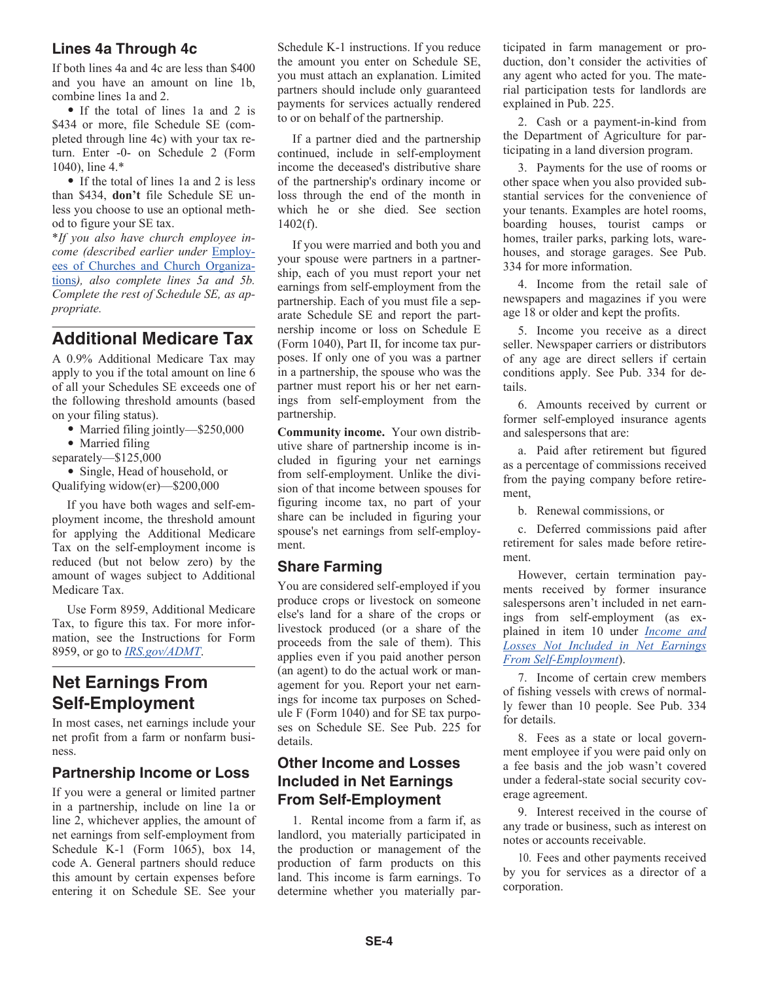## **Lines 4a Through 4c**

If both lines 4a and 4c are less than \$400 and you have an amount on line 1b, combine lines 1a and 2.

• If the total of lines 1a and 2 is \$434 or more, file Schedule SE (completed through line 4c) with your tax return. Enter -0- on Schedule 2 (Form 1040), line 4.\*

• If the total of lines 1a and 2 is less than \$434, **don't** file Schedule SE unless you choose to use an optional method to figure your SE tax.

\**If you also have church employee income (described earlier under* Employees of Churches and Church Organizations*), also complete lines 5a and 5b. Complete the rest of Schedule SE, as appropriate.*

## **Additional Medicare Tax**

A 0.9% Additional Medicare Tax may apply to you if the total amount on line 6 of all your Schedules SE exceeds one of the following threshold amounts (based on your filing status).

• Married filing jointly—\$250,000

• Married filing

separately—\$125,000

• Single, Head of household, or Qualifying widow(er)—\$200,000

If you have both wages and self-employment income, the threshold amount for applying the Additional Medicare Tax on the self-employment income is reduced (but not below zero) by the amount of wages subject to Additional Medicare Tax.

Use Form 8959, Additional Medicare Tax, to figure this tax. For more information, see the Instructions for Form 8959, or go to *[IRS.gov/ADMT](https://www.irs.gov/admt)*.

## **Net Earnings From Self-Employment**

In most cases, net earnings include your net profit from a farm or nonfarm business.

## **Partnership Income or Loss**

If you were a general or limited partner in a partnership, include on line 1a or line 2, whichever applies, the amount of net earnings from self-employment from Schedule K-1 (Form 1065), box 14, code A. General partners should reduce this amount by certain expenses before entering it on Schedule SE. See your Schedule K-1 instructions. If you reduce the amount you enter on Schedule SE, you must attach an explanation. Limited partners should include only guaranteed payments for services actually rendered to or on behalf of the partnership.

If a partner died and the partnership continued, include in self-employment income the deceased's distributive share of the partnership's ordinary income or loss through the end of the month in which he or she died. See section 1402(f).

If you were married and both you and your spouse were partners in a partnership, each of you must report your net earnings from self-employment from the partnership. Each of you must file a separate Schedule SE and report the partnership income or loss on Schedule E (Form 1040), Part II, for income tax purposes. If only one of you was a partner in a partnership, the spouse who was the partner must report his or her net earnings from self-employment from the partnership.

**Community income.** Your own distributive share of partnership income is included in figuring your net earnings from self-employment. Unlike the division of that income between spouses for figuring income tax, no part of your share can be included in figuring your spouse's net earnings from self-employment.

## **Share Farming**

You are considered self-employed if you produce crops or livestock on someone else's land for a share of the crops or livestock produced (or a share of the proceeds from the sale of them). This applies even if you paid another person (an agent) to do the actual work or management for you. Report your net earnings for income tax purposes on Schedule F (Form 1040) and for SE tax purposes on Schedule SE. See Pub. 225 for details.

## **Other Income and Losses Included in Net Earnings From Self-Employment**

1. Rental income from a farm if, as landlord, you materially participated in the production or management of the production of farm products on this land. This income is farm earnings. To determine whether you materially participated in farm management or production, don't consider the activities of any agent who acted for you. The material participation tests for landlords are explained in Pub. 225.

2. Cash or a payment-in-kind from the Department of Agriculture for participating in a land diversion program.

3. Payments for the use of rooms or other space when you also provided substantial services for the convenience of your tenants. Examples are hotel rooms, boarding houses, tourist camps or homes, trailer parks, parking lots, warehouses, and storage garages. See Pub. 334 for more information.

4. Income from the retail sale of newspapers and magazines if you were age 18 or older and kept the profits.

5. Income you receive as a direct seller. Newspaper carriers or distributors of any age are direct sellers if certain conditions apply. See Pub. 334 for details.

6. Amounts received by current or former self-employed insurance agents and salespersons that are:

a. Paid after retirement but figured as a percentage of commissions received from the paying company before retirement,

b. Renewal commissions, or

c. Deferred commissions paid after retirement for sales made before retirement.

However, certain termination payments received by former insurance salespersons aren't included in net earnings from self-employment (as explained in item 10 under *Income and Losses Not Included in Net Earnings From Self-Employment*).

7. Income of certain crew members of fishing vessels with crews of normally fewer than 10 people. See Pub. 334 for details.

8. Fees as a state or local government employee if you were paid only on a fee basis and the job wasn't covered under a federal-state social security coverage agreement.

9. Interest received in the course of any trade or business, such as interest on notes or accounts receivable.

10. Fees and other payments received by you for services as a director of a corporation.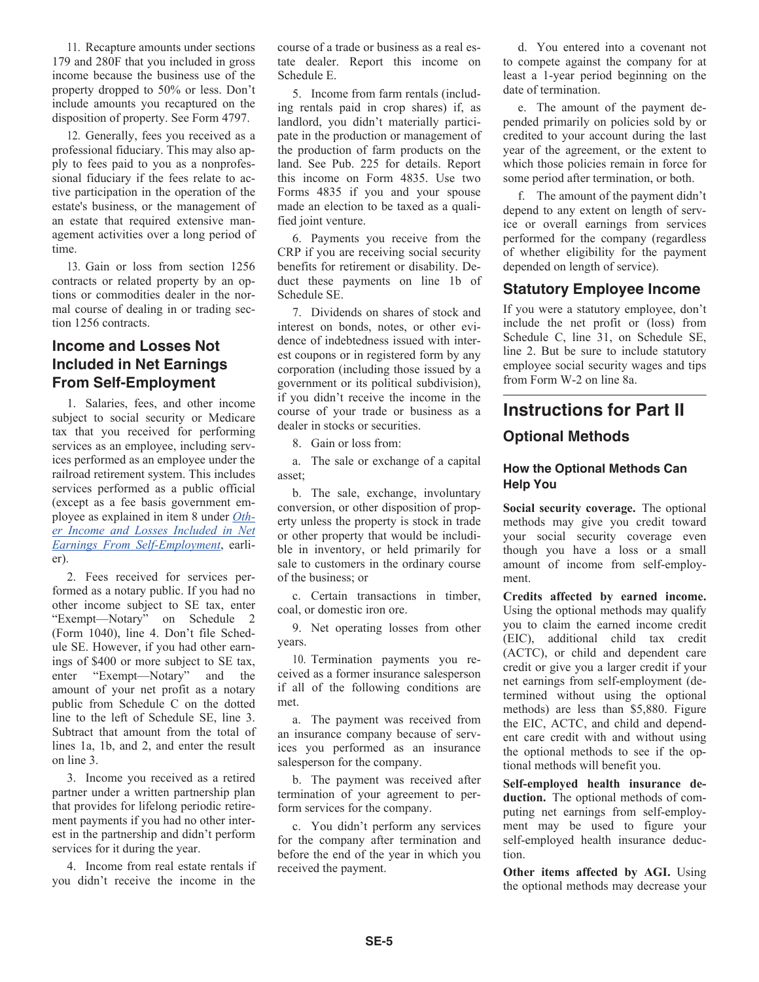11. Recapture amounts under sections 179 and 280F that you included in gross income because the business use of the property dropped to 50% or less. Don't include amounts you recaptured on the disposition of property. See Form 4797.

12. Generally, fees you received as a professional fiduciary. This may also apply to fees paid to you as a nonprofessional fiduciary if the fees relate to active participation in the operation of the estate's business, or the management of an estate that required extensive management activities over a long period of time.

13. Gain or loss from section 1256 contracts or related property by an options or commodities dealer in the normal course of dealing in or trading section 1256 contracts.

## **Income and Losses Not Included in Net Earnings From Self-Employment**

1. Salaries, fees, and other income subject to social security or Medicare tax that you received for performing services as an employee, including services performed as an employee under the railroad retirement system. This includes services performed as a public official (except as a fee basis government employee as explained in item 8 under *Other Income and Losses Included in Net Earnings From Self-Employment*, earlier).

2. Fees received for services performed as a notary public. If you had no other income subject to SE tax, enter "Exempt—Notary" on Schedule 2 (Form 1040), line 4. Don't file Schedule SE. However, if you had other earnings of \$400 or more subject to SE tax, enter "Exempt—Notary" and the amount of your net profit as a notary public from Schedule C on the dotted line to the left of Schedule SE, line 3. Subtract that amount from the total of lines 1a, 1b, and 2, and enter the result on line 3.

3. Income you received as a retired partner under a written partnership plan that provides for lifelong periodic retirement payments if you had no other interest in the partnership and didn't perform services for it during the year.

4. Income from real estate rentals if you didn't receive the income in the course of a trade or business as a real estate dealer. Report this income on Schedule E.

5. Income from farm rentals (including rentals paid in crop shares) if, as landlord, you didn't materially participate in the production or management of the production of farm products on the land. See Pub. 225 for details. Report this income on Form 4835. Use two Forms 4835 if you and your spouse made an election to be taxed as a qualified joint venture.

6. Payments you receive from the CRP if you are receiving social security benefits for retirement or disability. Deduct these payments on line 1b of Schedule SE.

7. Dividends on shares of stock and interest on bonds, notes, or other evidence of indebtedness issued with interest coupons or in registered form by any corporation (including those issued by a government or its political subdivision), if you didn't receive the income in the course of your trade or business as a dealer in stocks or securities.

8. Gain or loss from:

a. The sale or exchange of a capital asset;

b. The sale, exchange, involuntary conversion, or other disposition of property unless the property is stock in trade or other property that would be includible in inventory, or held primarily for sale to customers in the ordinary course of the business; or

c. Certain transactions in timber, coal, or domestic iron ore.

9. Net operating losses from other years.

10. Termination payments you received as a former insurance salesperson if all of the following conditions are met.

a. The payment was received from an insurance company because of services you performed as an insurance salesperson for the company.

b. The payment was received after termination of your agreement to perform services for the company.

c. You didn't perform any services for the company after termination and before the end of the year in which you received the payment.

d. You entered into a covenant not to compete against the company for at least a 1-year period beginning on the date of termination.

e. The amount of the payment depended primarily on policies sold by or credited to your account during the last year of the agreement, or the extent to which those policies remain in force for some period after termination, or both.

f. The amount of the payment didn't depend to any extent on length of service or overall earnings from services performed for the company (regardless of whether eligibility for the payment depended on length of service).

## **Statutory Employee Income**

If you were a statutory employee, don't include the net profit or (loss) from Schedule C, line 31, on Schedule SE, line 2. But be sure to include statutory employee social security wages and tips from Form W-2 on line 8a.

## **Instructions for Part II**

## **Optional Methods**

#### **How the Optional Methods Can Help You**

**Social security coverage.** The optional methods may give you credit toward your social security coverage even though you have a loss or a small amount of income from self-employment.

**Credits affected by earned income.**  Using the optional methods may qualify you to claim the earned income credit (EIC), additional child tax credit (ACTC), or child and dependent care credit or give you a larger credit if your net earnings from self-employment (determined without using the optional methods) are less than \$5,880. Figure the EIC, ACTC, and child and dependent care credit with and without using the optional methods to see if the optional methods will benefit you.

**Self-employed health insurance deduction.** The optional methods of computing net earnings from self-employment may be used to figure your self-employed health insurance deduction.

**Other items affected by AGI.** Using the optional methods may decrease your